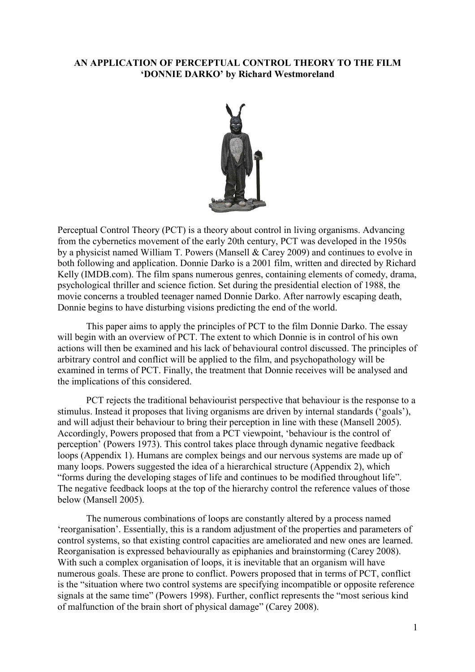## **AN APPLICATION OF PERCEPTUAL CONTROL THEORY TO THE FILM 'DONNIE DARKO' by Richard Westmoreland**



Perceptual Control Theory (PCT) is a theory about control in living organisms. Advancing from the cybernetics movement of the early 20th century, PCT was developed in the 1950s by a physicist named William T. Powers (Mansell & Carey 2009) and continues to evolve in both following and application. Donnie Darko is a 2001 film, written and directed by Richard Kelly (IMDB.com). The film spans numerous genres, containing elements of comedy, drama, psychological thriller and science fiction. Set during the presidential election of 1988, the movie concerns a troubled teenager named Donnie Darko. After narrowly escaping death, Donnie begins to have disturbing visions predicting the end of the world.

This paper aims to apply the principles of PCT to the film Donnie Darko. The essay will begin with an overview of PCT. The extent to which Donnie is in control of his own actions will then be examined and his lack of behavioural control discussed. The principles of arbitrary control and conflict will be applied to the film, and psychopathology will be examined in terms of PCT. Finally, the treatment that Donnie receives will be analysed and the implications of this considered.

PCT rejects the traditional behaviourist perspective that behaviour is the response to a stimulus. Instead it proposes that living organisms are driven by internal standards ('goals'), and will adjust their behaviour to bring their perception in line with these (Mansell 2005). Accordingly, Powers proposed that from a PCT viewpoint, 'behaviour is the control of perception' (Powers 1973). This control takes place through dynamic negative feedback loops (Appendix 1). Humans are complex beings and our nervous systems are made up of many loops. Powers suggested the idea of a hierarchical structure (Appendix 2), which "forms during the developing stages of life and continues to be modified throughout life". The negative feedback loops at the top of the hierarchy control the reference values of those below (Mansell 2005).

The numerous combinations of loops are constantly altered by a process named 'reorganisation'. Essentially, this is a random adjustment of the properties and parameters of control systems, so that existing control capacities are ameliorated and new ones are learned. Reorganisation is expressed behaviourally as epiphanies and brainstorming (Carey 2008). With such a complex organisation of loops, it is inevitable that an organism will have numerous goals. These are prone to conflict. Powers proposed that in terms of PCT, conflict is the "situation where two control systems are specifying incompatible or opposite reference signals at the same time" (Powers 1998). Further, conflict represents the "most serious kind of malfunction of the brain short of physical damage" (Carey 2008).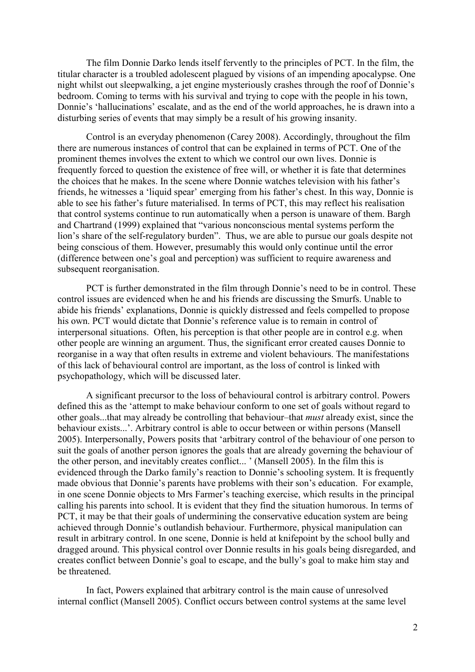The film Donnie Darko lends itself fervently to the principles of PCT. In the film, the titular character is a troubled adolescent plagued by visions of an impending apocalypse. One night whilst out sleepwalking, a jet engine mysteriously crashes through the roof of Donnie's bedroom. Coming to terms with his survival and trying to cope with the people in his town, Donnie's 'hallucinations' escalate, and as the end of the world approaches, he is drawn into a disturbing series of events that may simply be a result of his growing insanity.

Control is an everyday phenomenon (Carey 2008). Accordingly, throughout the film there are numerous instances of control that can be explained in terms of PCT. One of the prominent themes involves the extent to which we control our own lives. Donnie is frequently forced to question the existence of free will, or whether it is fate that determines the choices that he makes. In the scene where Donnie watches television with his father's friends, he witnesses a 'liquid spear' emerging from his father's chest. In this way, Donnie is able to see his father's future materialised. In terms of PCT, this may reflect his realisation that control systems continue to run automatically when a person is unaware of them. Bargh and Chartrand (1999) explained that "various nonconscious mental systems perform the lion's share of the self-regulatory burden". Thus, we are able to pursue our goals despite not being conscious of them. However, presumably this would only continue until the error (difference between one's goal and perception) was sufficient to require awareness and subsequent reorganisation.

PCT is further demonstrated in the film through Donnie's need to be in control. These control issues are evidenced when he and his friends are discussing the Smurfs. Unable to abide his friends' explanations, Donnie is quickly distressed and feels compelled to propose his own. PCT would dictate that Donnie's reference value is to remain in control of interpersonal situations. Often, his perception is that other people are in control e.g. when other people are winning an argument. Thus, the significant error created causes Donnie to reorganise in a way that often results in extreme and violent behaviours. The manifestations of this lack of behavioural control are important, as the loss of control is linked with psychopathology, which will be discussed later.

A significant precursor to the loss of behavioural control is arbitrary control. Powers defined this as the 'attempt to make behaviour conform to one set of goals without regard to other goals...that may already be controlling that behaviour–that *must* already exist, since the behaviour exists...'. Arbitrary control is able to occur between or within persons (Mansell 2005). Interpersonally, Powers posits that 'arbitrary control of the behaviour of one person to suit the goals of another person ignores the goals that are already governing the behaviour of the other person, and inevitably creates conflict... ' (Mansell 2005). In the film this is evidenced through the Darko family's reaction to Donnie's schooling system. It is frequently made obvious that Donnie's parents have problems with their son's education. For example, in one scene Donnie objects to Mrs Farmer's teaching exercise, which results in the principal calling his parents into school. It is evident that they find the situation humorous. In terms of PCT, it may be that their goals of undermining the conservative education system are being achieved through Donnie's outlandish behaviour. Furthermore, physical manipulation can result in arbitrary control. In one scene, Donnie is held at knifepoint by the school bully and dragged around. This physical control over Donnie results in his goals being disregarded, and creates conflict between Donnie's goal to escape, and the bully's goal to make him stay and be threatened.

In fact, Powers explained that arbitrary control is the main cause of unresolved internal conflict (Mansell 2005). Conflict occurs between control systems at the same level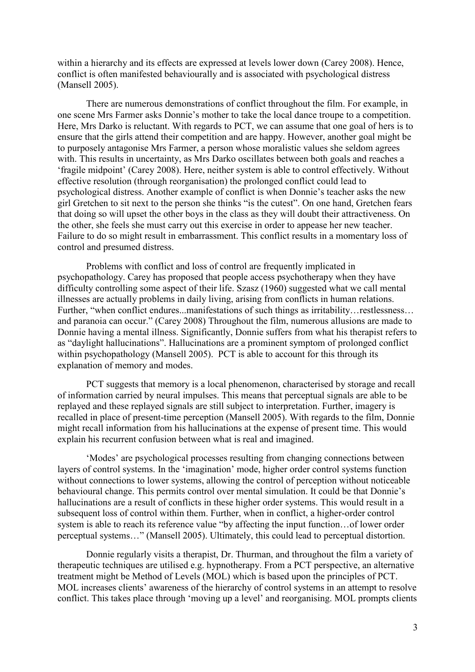within a hierarchy and its effects are expressed at levels lower down (Carey 2008). Hence, conflict is often manifested behaviourally and is associated with psychological distress (Mansell 2005).

There are numerous demonstrations of conflict throughout the film. For example, in one scene Mrs Farmer asks Donnie's mother to take the local dance troupe to a competition. Here, Mrs Darko is reluctant. With regards to PCT, we can assume that one goal of hers is to ensure that the girls attend their competition and are happy. However, another goal might be to purposely antagonise Mrs Farmer, a person whose moralistic values she seldom agrees with. This results in uncertainty, as Mrs Darko oscillates between both goals and reaches a 'fragile midpoint' (Carey 2008). Here, neither system is able to control effectively. Without effective resolution (through reorganisation) the prolonged conflict could lead to psychological distress. Another example of conflict is when Donnie's teacher asks the new girl Gretchen to sit next to the person she thinks "is the cutest". On one hand, Gretchen fears that doing so will upset the other boys in the class as they will doubt their attractiveness. On the other, she feels she must carry out this exercise in order to appease her new teacher. Failure to do so might result in embarrassment. This conflict results in a momentary loss of control and presumed distress.

Problems with conflict and loss of control are frequently implicated in psychopathology. Carey has proposed that people access psychotherapy when they have difficulty controlling some aspect of their life. Szasz (1960) suggested what we call mental illnesses are actually problems in daily living, arising from conflicts in human relations. Further, "when conflict endures...manifestations of such things as irritability…restlessness… and paranoia can occur." (Carey 2008) Throughout the film, numerous allusions are made to Donnie having a mental illness. Significantly, Donnie suffers from what his therapist refers to as "daylight hallucinations". Hallucinations are a prominent symptom of prolonged conflict within psychopathology (Mansell 2005). PCT is able to account for this through its explanation of memory and modes.

PCT suggests that memory is a local phenomenon, characterised by storage and recall of information carried by neural impulses. This means that perceptual signals are able to be replayed and these replayed signals are still subject to interpretation. Further, imagery is recalled in place of present-time perception (Mansell 2005). With regards to the film, Donnie might recall information from his hallucinations at the expense of present time. This would explain his recurrent confusion between what is real and imagined.

'Modes' are psychological processes resulting from changing connections between layers of control systems. In the 'imagination' mode, higher order control systems function without connections to lower systems, allowing the control of perception without noticeable behavioural change. This permits control over mental simulation. It could be that Donnie's hallucinations are a result of conflicts in these higher order systems. This would result in a subsequent loss of control within them. Further, when in conflict, a higher-order control system is able to reach its reference value "by affecting the input function…of lower order perceptual systems…" (Mansell 2005). Ultimately, this could lead to perceptual distortion.

Donnie regularly visits a therapist, Dr. Thurman, and throughout the film a variety of therapeutic techniques are utilised e.g. hypnotherapy. From a PCT perspective, an alternative treatment might be Method of Levels (MOL) which is based upon the principles of PCT. MOL increases clients' awareness of the hierarchy of control systems in an attempt to resolve conflict. This takes place through 'moving up a level' and reorganising. MOL prompts clients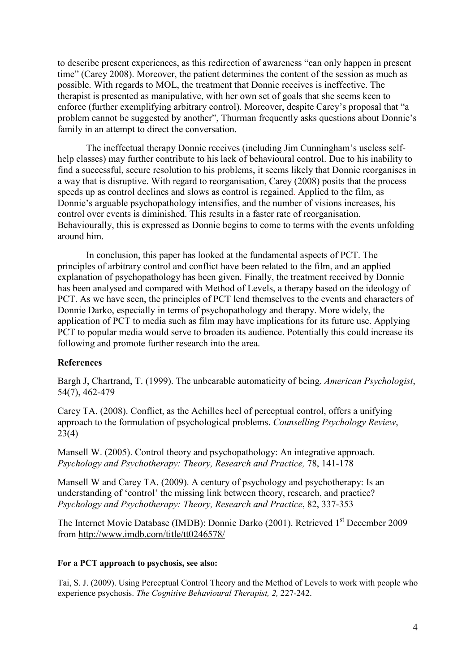to describe present experiences, as this redirection of awareness "can only happen in present time" (Carey 2008). Moreover, the patient determines the content of the session as much as possible. With regards to MOL, the treatment that Donnie receives is ineffective. The therapist is presented as manipulative, with her own set of goals that she seems keen to enforce (further exemplifying arbitrary control). Moreover, despite Carey's proposal that "a problem cannot be suggested by another", Thurman frequently asks questions about Donnie's family in an attempt to direct the conversation.

The ineffectual therapy Donnie receives (including Jim Cunningham's useless selfhelp classes) may further contribute to his lack of behavioural control. Due to his inability to find a successful, secure resolution to his problems, it seems likely that Donnie reorganises in a way that is disruptive. With regard to reorganisation, Carey (2008) posits that the process speeds up as control declines and slows as control is regained. Applied to the film, as Donnie's arguable psychopathology intensifies, and the number of visions increases, his control over events is diminished. This results in a faster rate of reorganisation. Behaviourally, this is expressed as Donnie begins to come to terms with the events unfolding around him.

In conclusion, this paper has looked at the fundamental aspects of PCT. The principles of arbitrary control and conflict have been related to the film, and an applied explanation of psychopathology has been given. Finally, the treatment received by Donnie has been analysed and compared with Method of Levels, a therapy based on the ideology of PCT. As we have seen, the principles of PCT lend themselves to the events and characters of Donnie Darko, especially in terms of psychopathology and therapy. More widely, the application of PCT to media such as film may have implications for its future use. Applying PCT to popular media would serve to broaden its audience. Potentially this could increase its following and promote further research into the area.

## **References**

Bargh J, Chartrand, T. (1999). The unbearable automaticity of being. *American Psychologist*, 54(7), 462-479

Carey TA. (2008). Conflict, as the Achilles heel of perceptual control, offers a unifying approach to the formulation of psychological problems. *Counselling Psychology Review*, 23(4)

Mansell W. (2005). Control theory and psychopathology: An integrative approach. *Psychology and Psychotherapy: Theory, Research and Practice,* 78, 141-178

Mansell W and Carey TA. (2009). A century of psychology and psychotherapy: Is an understanding of 'control' the missing link between theory, research, and practice? *Psychology and Psychotherapy: Theory, Research and Practice*, 82, 337-353

The Internet Movie Database (IMDB): Donnie Darko (2001). Retrieved 1st December 2009 from<http://www.imdb.com/title/tt0246578/>

## **For a PCT approach to psychosis, see also:**

Tai, S. J. (2009). Using Perceptual Control Theory and the Method of Levels to work with people who experience psychosis. *The Cognitive Behavioural Therapist, 2,* 227-242.